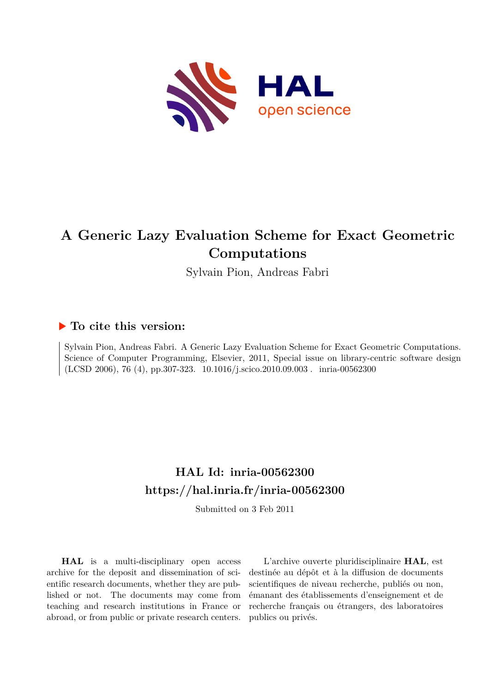

# **A Generic Lazy Evaluation Scheme for Exact Geometric Computations**

Sylvain Pion, Andreas Fabri

# **To cite this version:**

Sylvain Pion, Andreas Fabri. A Generic Lazy Evaluation Scheme for Exact Geometric Computations. Science of Computer Programming, Elsevier, 2011, Special issue on library-centric software design (LCSD 2006), 76 (4), pp.307-323. 10.1016/j.scico.2010.09.003. inria-00562300

# **HAL Id: inria-00562300 <https://hal.inria.fr/inria-00562300>**

Submitted on 3 Feb 2011

**HAL** is a multi-disciplinary open access archive for the deposit and dissemination of scientific research documents, whether they are published or not. The documents may come from teaching and research institutions in France or abroad, or from public or private research centers.

L'archive ouverte pluridisciplinaire **HAL**, est destinée au dépôt et à la diffusion de documents scientifiques de niveau recherche, publiés ou non, émanant des établissements d'enseignement et de recherche français ou étrangers, des laboratoires publics ou privés.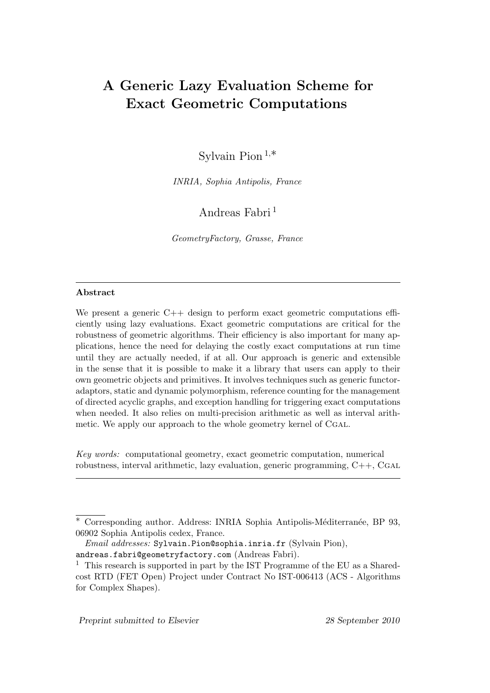# A Generic Lazy Evaluation Scheme for Exact Geometric Computations

Sylvain Pion  $1,*$ 

INRIA, Sophia Antipolis, France

Andreas Fabri <sup>1</sup>

GeometryFactory, Grasse, France

#### Abstract

We present a generic C++ design to perform exact geometric computations efficiently using lazy evaluations. Exact geometric computations are critical for the robustness of geometric algorithms. Their efficiency is also important for many applications, hence the need for delaying the costly exact computations at run time until they are actually needed, if at all. Our approach is generic and extensible in the sense that it is possible to make it a library that users can apply to their own geometric objects and primitives. It involves techniques such as generic functoradaptors, static and dynamic polymorphism, reference counting for the management of directed acyclic graphs, and exception handling for triggering exact computations when needed. It also relies on multi-precision arithmetic as well as interval arithmetic. We apply our approach to the whole geometry kernel of CGAL.

Key words: computational geometry, exact geometric computation, numerical robustness, interval arithmetic, lazy evaluation, generic programming,  $C++$ , CGAL

<sup>∗</sup> Corresponding author. Address: INRIA Sophia Antipolis-M´editerran´ee, BP 93, 06902 Sophia Antipolis cedex, France.

Email addresses: Sylvain.Pion@sophia.inria.fr (Sylvain Pion), andreas.fabri@geometryfactory.com (Andreas Fabri).

<sup>&</sup>lt;sup>1</sup> This research is supported in part by the IST Programme of the EU as a Sharedcost RTD (FET Open) Project under Contract No IST-006413 (ACS - Algorithms for Complex Shapes).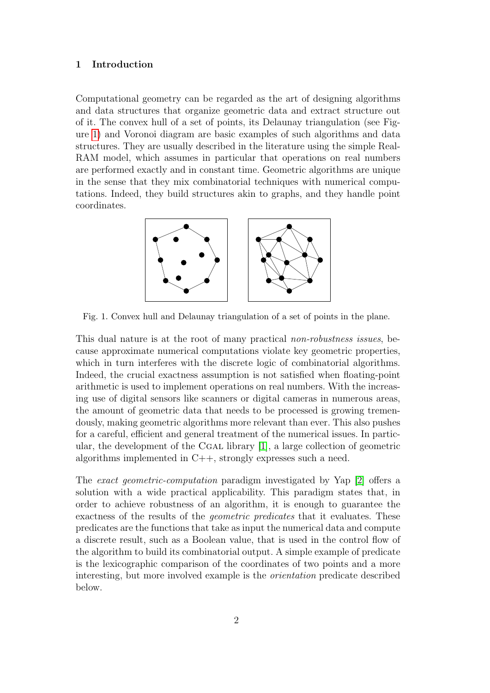#### 1 Introduction

Computational geometry can be regarded as the art of designing algorithms and data structures that organize geometric data and extract structure out of it. The convex hull of a set of points, its Delaunay triangulation (see Figure [1\)](#page-2-0) and Voronoi diagram are basic examples of such algorithms and data structures. They are usually described in the literature using the simple Real-RAM model, which assumes in particular that operations on real numbers are performed exactly and in constant time. Geometric algorithms are unique in the sense that they mix combinatorial techniques with numerical computations. Indeed, they build structures akin to graphs, and they handle point coordinates.



<span id="page-2-0"></span>Fig. 1. Convex hull and Delaunay triangulation of a set of points in the plane.

This dual nature is at the root of many practical non-robustness issues, because approximate numerical computations violate key geometric properties, which in turn interferes with the discrete logic of combinatorial algorithms. Indeed, the crucial exactness assumption is not satisfied when floating-point arithmetic is used to implement operations on real numbers. With the increasing use of digital sensors like scanners or digital cameras in numerous areas, the amount of geometric data that needs to be processed is growing tremendously, making geometric algorithms more relevant than ever. This also pushes for a careful, efficient and general treatment of the numerical issues. In particular, the development of the Cgal library [\[1\]](#page-28-0), a large collection of geometric algorithms implemented in C++, strongly expresses such a need.

The exact geometric-computation paradigm investigated by Yap [\[2\]](#page-28-1) offers a solution with a wide practical applicability. This paradigm states that, in order to achieve robustness of an algorithm, it is enough to guarantee the exactness of the results of the *geometric predicates* that it evaluates. These predicates are the functions that take as input the numerical data and compute a discrete result, such as a Boolean value, that is used in the control flow of the algorithm to build its combinatorial output. A simple example of predicate is the lexicographic comparison of the coordinates of two points and a more interesting, but more involved example is the orientation predicate described below.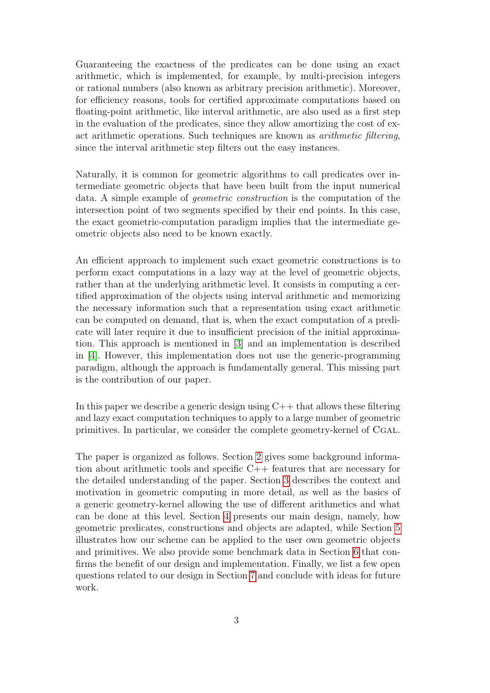Guaranteeing the exactness of the predicates can be done using an exact arithmetic, which is implemented, for example, by multi-precision integers or rational numbers (also known as arbitrary precision arithmetic). Moreover, for efficiency reasons, tools for certified approximate computations based on floating-point arithmetic, like interval arithmetic, are also used as a first step in the evaluation of the predicates, since they allow amortizing the cost of exact arithmetic operations. Such techniques are known as arithmetic filtering, since the interval arithmetic step filters out the easy instances.

Naturally, it is common for geometric algorithms to call predicates over intermediate geometric objects that have been built from the input numerical data. A simple example of geometric construction is the computation of the intersection point of two segments specified by their end points. In this case, the exact geometric-computation paradigm implies that the intermediate geometric objects also need to be known exactly.

An efficient approach to implement such exact geometric constructions is to perform exact computations in a lazy way at the level of geometric objects, rather than at the underlying arithmetic level. It consists in computing a certified approximation of the objects using interval arithmetic and memorizing the necessary information such that a representation using exact arithmetic can be computed on demand, that is, when the exact computation of a predicate will later require it due to insufficient precision of the initial approximation. This approach is mentioned in [\[3\]](#page-28-2) and an implementation is described in [\[4\]](#page-28-3). However, this implementation does not use the generic-programming paradigm, although the approach is fundamentally general. This missing part is the contribution of our paper.

In this paper we describe a generic design using  $C++$  that allows these filtering and lazy exact computation techniques to apply to a large number of geometric primitives. In particular, we consider the complete geometry-kernel of Cgal.

The paper is organized as follows. Section [2](#page-4-0) gives some background information about arithmetic tools and specific  $C++$  features that are necessary for the detailed understanding of the paper. Section [3](#page-9-0) describes the context and motivation in geometric computing in more detail, as well as the basics of a generic geometry-kernel allowing the use of different arithmetics and what can be done at this level. Section [4](#page-13-0) presents our main design, namely, how geometric predicates, constructions and objects are adapted, while Section [5](#page-22-0) illustrates how our scheme can be applied to the user own geometric objects and primitives. We also provide some benchmark data in Section [6](#page-23-0) that confirms the benefit of our design and implementation. Finally, we list a few open questions related to our design in Section [7](#page-25-0) and conclude with ideas for future work.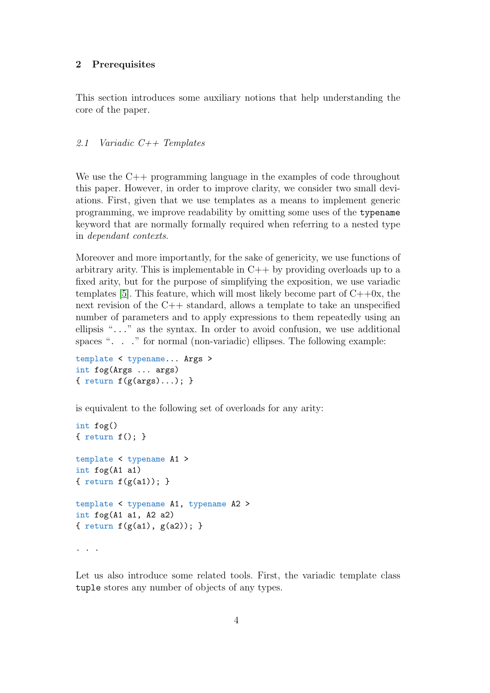#### <span id="page-4-0"></span>2 Prerequisites

This section introduces some auxiliary notions that help understanding the core of the paper.

#### 2.1 Variadic  $C++$  Templates

We use the C++ programming language in the examples of code throughout this paper. However, in order to improve clarity, we consider two small deviations. First, given that we use templates as a means to implement generic programming, we improve readability by omitting some uses of the typename keyword that are normally formally required when referring to a nested type in dependant contexts.

Moreover and more importantly, for the sake of genericity, we use functions of arbitrary arity. This is implementable in  $C++$  by providing overloads up to a fixed arity, but for the purpose of simplifying the exposition, we use variadic templates [\[5\]](#page-28-4). This feature, which will most likely become part of  $C++0x$ , the next revision of the C++ standard, allows a template to take an unspecified number of parameters and to apply expressions to them repeatedly using an ellipsis "..." as the syntax. In order to avoid confusion, we use additional spaces ". . ." for normal (non-variadic) ellipses. The following example:

```
template < typename... Args >
int fog(Args ... args)
{ return f(g(args)...); }
```
is equivalent to the following set of overloads for any arity:

```
int fog()
{ return f(); }
template < typename A1 >
int fog(A1 a1)
{ return f(g(a1)); }
template < typename A1, typename A2 >
int fog(A1 a1, A2 a2)
{ return f(g(a1), g(a2)); }
```
 $\ldots$  .

Let us also introduce some related tools. First, the variadic template class tuple stores any number of objects of any types.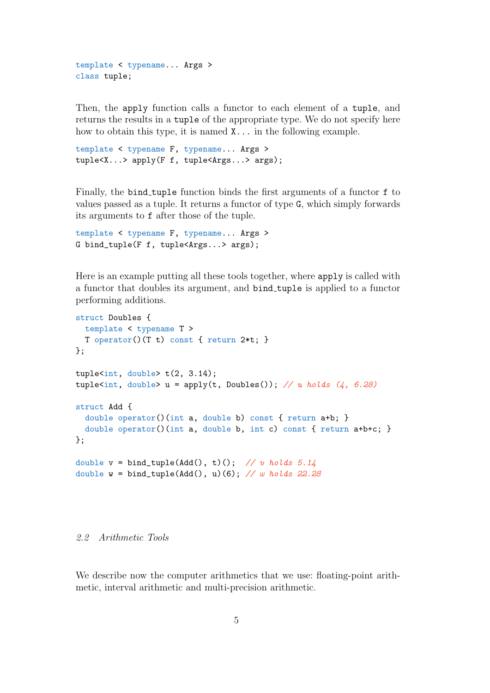```
template < typename... Args >
class tuple;
```
Then, the apply function calls a functor to each element of a tuple, and returns the results in a tuple of the appropriate type. We do not specify here how to obtain this type, it is named  $X$ ... in the following example.

```
template < typename F, typename... Args >
tuple<X...> apply(F f, tuple<Args...> args);
```
Finally, the bind tuple function binds the first arguments of a functor f to values passed as a tuple. It returns a functor of type G, which simply forwards its arguments to f after those of the tuple.

```
template < typename F, typename... Args >
G bind_tuple(F f, tuple<Args...> args);
```
Here is an example putting all these tools together, where apply is called with a functor that doubles its argument, and bind tuple is applied to a functor performing additions.

```
struct Doubles {
 template < typename T >
 T operator()(T t) const { return 2*t; }
};
tuple<sub>int</sub>, double> t(2, 3.14);tuple<sub>int</sub>, double>u = apply(t, Double(s)); // u holds (4, 6.28)struct Add {
 double operator()(int a, double b) const { return a+b; }
 double operator()(int a, double b, int c) const { return a+b+c; }
};
double v = bind_tuple(Add(), t)(); // v holds 5.14
double w = bind_tuple(Add(), u)(6); // w holds 22.28
```
# 2.2 Arithmetic Tools

We describe now the computer arithmetics that we use: floating-point arithmetic, interval arithmetic and multi-precision arithmetic.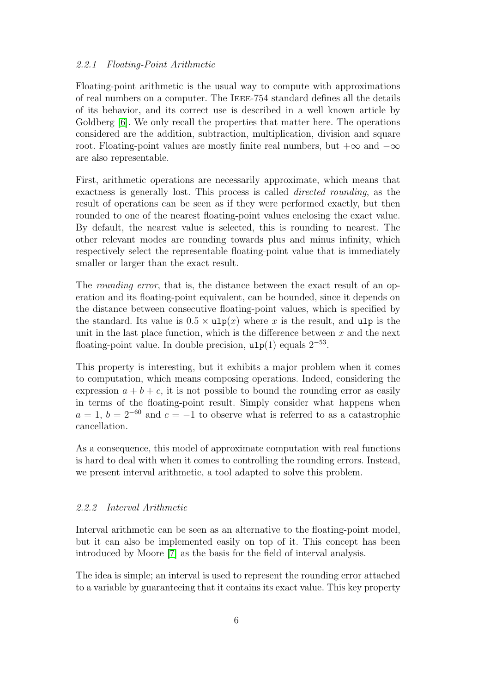#### 2.2.1 Floating-Point Arithmetic

Floating-point arithmetic is the usual way to compute with approximations of real numbers on a computer. The Ieee-754 standard defines all the details of its behavior, and its correct use is described in a well known article by Goldberg [\[6\]](#page-28-5). We only recall the properties that matter here. The operations considered are the addition, subtraction, multiplication, division and square root. Floating-point values are mostly finite real numbers, but  $+\infty$  and  $-\infty$ are also representable.

First, arithmetic operations are necessarily approximate, which means that exactness is generally lost. This process is called directed rounding, as the result of operations can be seen as if they were performed exactly, but then rounded to one of the nearest floating-point values enclosing the exact value. By default, the nearest value is selected, this is rounding to nearest. The other relevant modes are rounding towards plus and minus infinity, which respectively select the representable floating-point value that is immediately smaller or larger than the exact result.

The *rounding error*, that is, the distance between the exact result of an operation and its floating-point equivalent, can be bounded, since it depends on the distance between consecutive floating-point values, which is specified by the standard. Its value is  $0.5 \times \text{ulp}(x)$  where x is the result, and ulp is the unit in the last place function, which is the difference between  $x$  and the next floating-point value. In double precision,  $ulp(1)$  equals  $2^{-53}$ .

This property is interesting, but it exhibits a major problem when it comes to computation, which means composing operations. Indeed, considering the expression  $a + b + c$ , it is not possible to bound the rounding error as easily in terms of the floating-point result. Simply consider what happens when  $a = 1, b = 2^{-60}$  and  $c = -1$  to observe what is referred to as a catastrophic cancellation.

As a consequence, this model of approximate computation with real functions is hard to deal with when it comes to controlling the rounding errors. Instead, we present interval arithmetic, a tool adapted to solve this problem.

#### 2.2.2 Interval Arithmetic

Interval arithmetic can be seen as an alternative to the floating-point model, but it can also be implemented easily on top of it. This concept has been introduced by Moore [\[7\]](#page-28-6) as the basis for the field of interval analysis.

The idea is simple; an interval is used to represent the rounding error attached to a variable by guaranteeing that it contains its exact value. This key property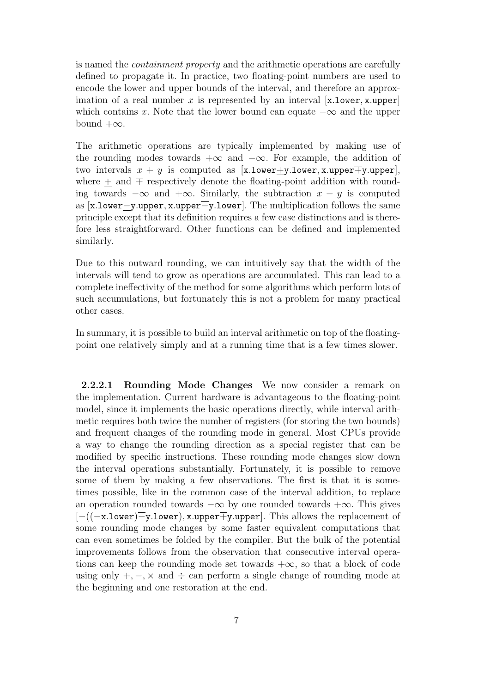is named the containment property and the arithmetic operations are carefully defined to propagate it. In practice, two floating-point numbers are used to encode the lower and upper bounds of the interval, and therefore an approximation of a real number x is represented by an interval  $[x.lower, x.upper]$ which contains x. Note that the lower bound can equate  $-\infty$  and the upper bound  $+\infty$ .

The arithmetic operations are typically implemented by making use of the rounding modes towards  $+\infty$  and  $-\infty$ . For example, the addition of two intervals  $x + y$  is computed as [x.lower+y.lower, x.upper+y.upper], where  $\pm$  and  $\pm$  respectively denote the floating-point addition with rounding towards  $-\infty$  and  $+\infty$ . Similarly, the subtraction  $x - y$  is computed as [x.lower−y.upper, x.upper−y.lower]. The multiplication follows the same principle except that its definition requires a few case distinctions and is therefore less straightforward. Other functions can be defined and implemented similarly.

Due to this outward rounding, we can intuitively say that the width of the intervals will tend to grow as operations are accumulated. This can lead to a complete ineffectivity of the method for some algorithms which perform lots of such accumulations, but fortunately this is not a problem for many practical other cases.

In summary, it is possible to build an interval arithmetic on top of the floatingpoint one relatively simply and at a running time that is a few times slower.

<span id="page-7-0"></span>2.2.2.1 Rounding Mode Changes We now consider a remark on the implementation. Current hardware is advantageous to the floating-point model, since it implements the basic operations directly, while interval arithmetic requires both twice the number of registers (for storing the two bounds) and frequent changes of the rounding mode in general. Most CPUs provide a way to change the rounding direction as a special register that can be modified by specific instructions. These rounding mode changes slow down the interval operations substantially. Fortunately, it is possible to remove some of them by making a few observations. The first is that it is sometimes possible, like in the common case of the interval addition, to replace an operation rounded towards  $-\infty$  by one rounded towards  $+\infty$ . This gives [−((−x.lower)−y.lower), x.upper+y.upper]. This allows the replacement of some rounding mode changes by some faster equivalent computations that can even sometimes be folded by the compiler. But the bulk of the potential improvements follows from the observation that consecutive interval operations can keep the rounding mode set towards  $+\infty$ , so that a block of code using only  $+$ ,  $-$ ,  $\times$  and  $\div$  can perform a single change of rounding mode at the beginning and one restoration at the end.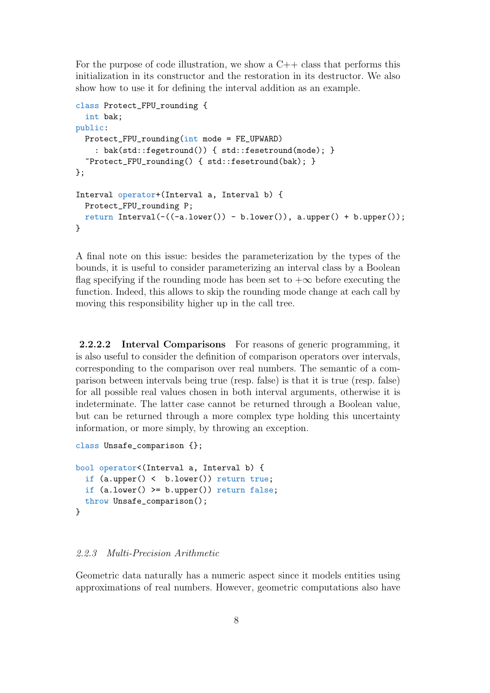For the purpose of code illustration, we show a  $C_{++}$  class that performs this initialization in its constructor and the restoration in its destructor. We also show how to use it for defining the interval addition as an example.

```
class Protect_FPU_rounding {
  int bak;
public:
 Protect_FPU_rounding(int mode = FE_UPWARD)
    : bak(std::fegetround()) { std::fesetround(mode); }
  ~Protect_FPU_rounding() { std::fesetround(bak); }
};
Interval operator+(Interval a, Interval b) {
 Protect_FPU_rounding P;
 return Interval(-((-a.lower()) - b.lower()), a.upper() + b.upper());
}
```
A final note on this issue: besides the parameterization by the types of the bounds, it is useful to consider parameterizing an interval class by a Boolean flag specifying if the rounding mode has been set to  $+\infty$  before executing the function. Indeed, this allows to skip the rounding mode change at each call by moving this responsibility higher up in the call tree.

2.2.2.2 Interval Comparisons For reasons of generic programming, it is also useful to consider the definition of comparison operators over intervals, corresponding to the comparison over real numbers. The semantic of a comparison between intervals being true (resp. false) is that it is true (resp. false) for all possible real values chosen in both interval arguments, otherwise it is indeterminate. The latter case cannot be returned through a Boolean value, but can be returned through a more complex type holding this uncertainty information, or more simply, by throwing an exception.

```
class Unsafe_comparison {};
bool operator<(Interval a, Interval b) {
  if (a.upper() < b.lower()) return true;
  if (a.lower() \geq b.upper()) return false;
 throw Unsafe_comparison();
}
```
# 2.2.3 Multi-Precision Arithmetic

Geometric data naturally has a numeric aspect since it models entities using approximations of real numbers. However, geometric computations also have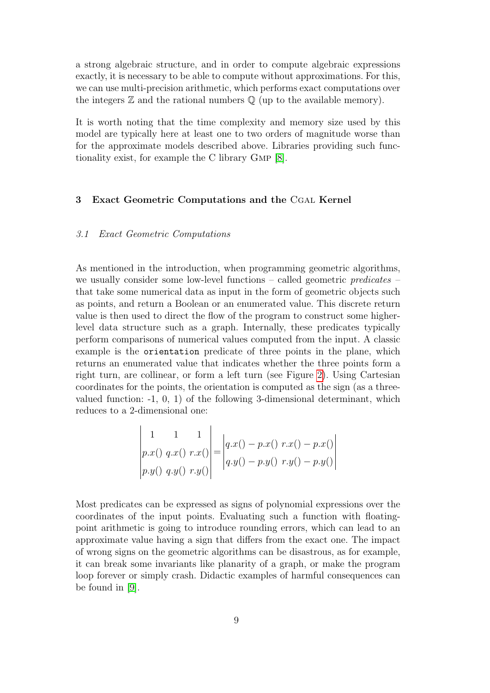a strong algebraic structure, and in order to compute algebraic expressions exactly, it is necessary to be able to compute without approximations. For this, we can use multi-precision arithmetic, which performs exact computations over the integers  $\mathbb Z$  and the rational numbers  $\mathbb Q$  (up to the available memory).

It is worth noting that the time complexity and memory size used by this model are typically here at least one to two orders of magnitude worse than for the approximate models described above. Libraries providing such functionality exist, for example the C library Gmp [\[8\]](#page-28-7).

#### <span id="page-9-0"></span>3 Exact Geometric Computations and the Cgal Kernel

#### 3.1 Exact Geometric Computations

 $\overline{1}$ 

As mentioned in the introduction, when programming geometric algorithms, we usually consider some low-level functions – called geometric predicates – that take some numerical data as input in the form of geometric objects such as points, and return a Boolean or an enumerated value. This discrete return value is then used to direct the flow of the program to construct some higherlevel data structure such as a graph. Internally, these predicates typically perform comparisons of numerical values computed from the input. A classic example is the orientation predicate of three points in the plane, which returns an enumerated value that indicates whether the three points form a right turn, are collinear, or form a left turn (see Figure [2\)](#page-10-0). Using Cartesian coordinates for the points, the orientation is computed as the sign (as a threevalued function: -1, 0, 1) of the following 3-dimensional determinant, which reduces to a 2-dimensional one:

$$
\begin{vmatrix} 1 & 1 & 1 \ p.x() & q.x() & r.x() \ p.y() & q.y() & r.y() \end{vmatrix} = \begin{vmatrix} q.x() - p.x() & r.x() - p.x() \\ q.y() - p.y() & r.y() - p.y() \end{vmatrix}
$$

Most predicates can be expressed as signs of polynomial expressions over the coordinates of the input points. Evaluating such a function with floatingpoint arithmetic is going to introduce rounding errors, which can lead to an approximate value having a sign that differs from the exact one. The impact of wrong signs on the geometric algorithms can be disastrous, as for example, it can break some invariants like planarity of a graph, or make the program loop forever or simply crash. Didactic examples of harmful consequences can be found in [\[9\]](#page-28-8).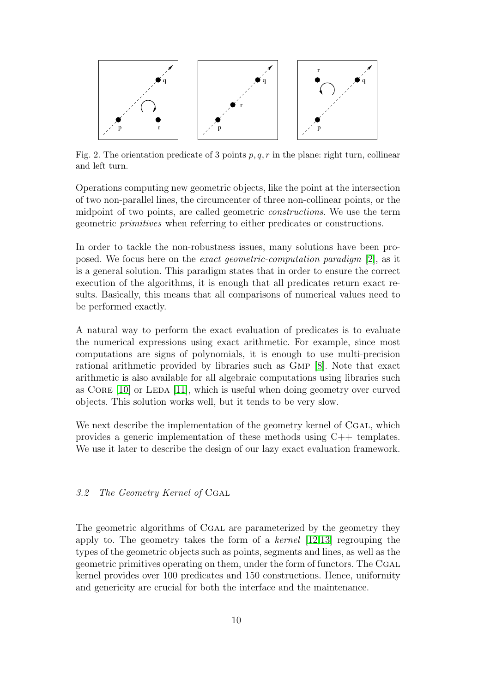

<span id="page-10-0"></span>Fig. 2. The orientation predicate of 3 points  $p, q, r$  in the plane: right turn, collinear and left turn.

Operations computing new geometric objects, like the point at the intersection of two non-parallel lines, the circumcenter of three non-collinear points, or the midpoint of two points, are called geometric constructions. We use the term geometric primitives when referring to either predicates or constructions.

In order to tackle the non-robustness issues, many solutions have been proposed. We focus here on the exact geometric-computation paradigm [\[2\]](#page-28-1), as it is a general solution. This paradigm states that in order to ensure the correct execution of the algorithms, it is enough that all predicates return exact results. Basically, this means that all comparisons of numerical values need to be performed exactly.

A natural way to perform the exact evaluation of predicates is to evaluate the numerical expressions using exact arithmetic. For example, since most computations are signs of polynomials, it is enough to use multi-precision rational arithmetic provided by libraries such as Gmp [\[8\]](#page-28-7). Note that exact arithmetic is also available for all algebraic computations using libraries such as CORE  $[10]$  or LEDA  $[11]$ , which is useful when doing geometry over curved objects. This solution works well, but it tends to be very slow.

We next describe the implementation of the geometry kernel of CGAL, which provides a generic implementation of these methods using C++ templates. We use it later to describe the design of our lazy exact evaluation framework.

# 3.2 The Geometry Kernel of Cgal

The geometric algorithms of Cgal are parameterized by the geometry they apply to. The geometry takes the form of a kernel  $[12,13]$  $[12,13]$  regrouping the types of the geometric objects such as points, segments and lines, as well as the geometric primitives operating on them, under the form of functors. The Cgal kernel provides over 100 predicates and 150 constructions. Hence, uniformity and genericity are crucial for both the interface and the maintenance.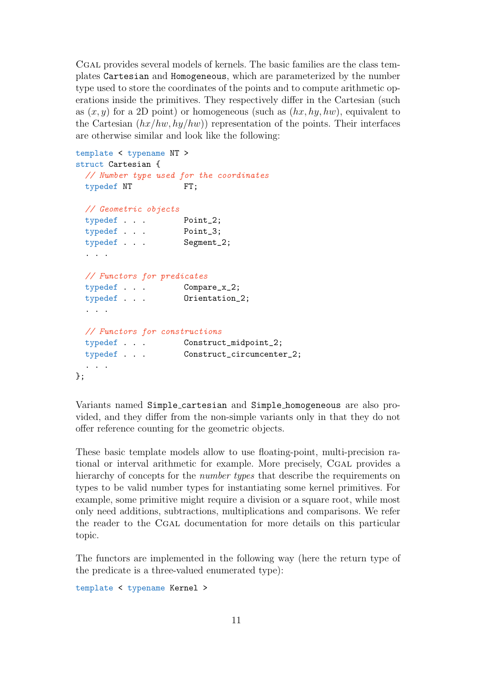Cgal provides several models of kernels. The basic families are the class templates Cartesian and Homogeneous, which are parameterized by the number type used to store the coordinates of the points and to compute arithmetic operations inside the primitives. They respectively differ in the Cartesian (such as  $(x, y)$  for a 2D point) or homogeneous (such as  $(hx, hy, hw)$ , equivalent to the Cartesian  $(hx/hw, hy/hw)$  representation of the points. Their interfaces are otherwise similar and look like the following:

```
template < typename NT >
struct Cartesian {
 // Number type used for the coordinates
 typedef NT FT;
 // Geometric objects
 typedef . . . Point_2;
 typedef . . . Point_3;
 typedef . . . Segment_2;
 . . .
 // Functors for predicates
 typedef . . . Compare_x_2;
 typedef . . . Orientation_2;
 \ldots .
 // Functors for constructions
 typedef . . . Construct_midpoint_2;
 typedef . . . Construct_circumcenter_2;
 . . .
};
```
Variants named Simple cartesian and Simple homogeneous are also provided, and they differ from the non-simple variants only in that they do not offer reference counting for the geometric objects.

These basic template models allow to use floating-point, multi-precision rational or interval arithmetic for example. More precisely, Cgal provides a hierarchy of concepts for the *number types* that describe the requirements on types to be valid number types for instantiating some kernel primitives. For example, some primitive might require a division or a square root, while most only need additions, subtractions, multiplications and comparisons. We refer the reader to the Cgal documentation for more details on this particular topic.

The functors are implemented in the following way (here the return type of the predicate is a three-valued enumerated type):

template < typename Kernel >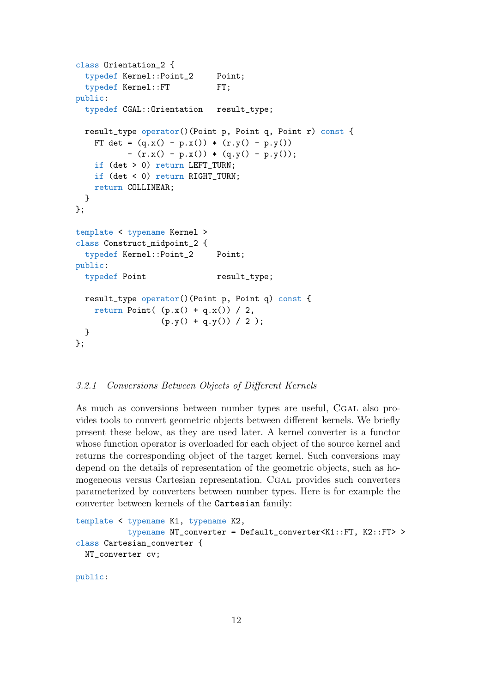```
class Orientation_2 {
  typedef Kernel::Point_2 Point;
  typedef Kernel::FT FT:
public:
  typedef CGAL::Orientation result_type;
 result_type operator()(Point p, Point q, Point r) const {
   FT det = (q.x() - p.x()) * (r.y() - p.y())- (r.x() - p.x()) * (q.y() - p.y());
   if (det > 0) return LEFT_TURN;
   if (det < 0) return RIGHT_TURN;
   return COLLINEAR;
  }
};
template < typename Kernel >
class Construct_midpoint_2 {
  typedef Kernel::Point_2 Point;
public:
 typedef Point result_type;
 result_type operator()(Point p, Point q) const {
   return Point((p.x() + q.x()) / 2,
                 (p.y() + q.y()) / 2 ;
 }
};
```
### 3.2.1 Conversions Between Objects of Different Kernels

As much as conversions between number types are useful, CGAL also provides tools to convert geometric objects between different kernels. We briefly present these below, as they are used later. A kernel converter is a functor whose function operator is overloaded for each object of the source kernel and returns the corresponding object of the target kernel. Such conversions may depend on the details of representation of the geometric objects, such as homogeneous versus Cartesian representation. Cgal provides such converters parameterized by converters between number types. Here is for example the converter between kernels of the Cartesian family:

```
template < typename K1, typename K2,
           typename NT_converter = Default_converter<K1::FT, K2::FT> >
class Cartesian_converter {
 NT_converter cv;
public:
```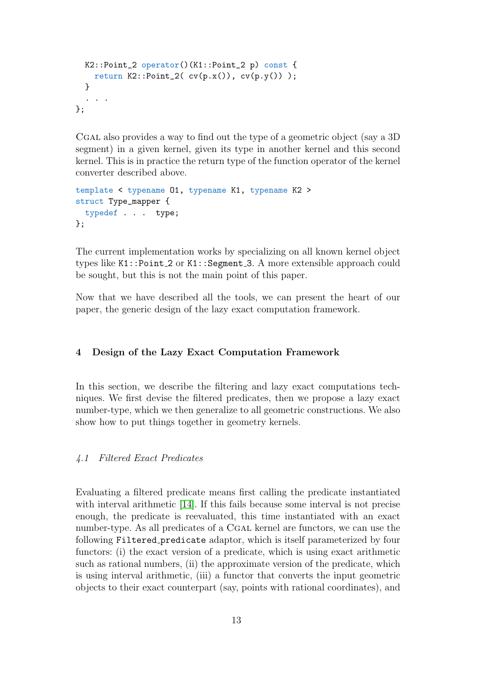```
K2::Point_2 operator()(K1::Point_2 p) const {
   return K2::Point_2( cv(p.x))), cv(p.y());
 }
  . . .
};
```
Cgal also provides a way to find out the type of a geometric object (say a 3D segment) in a given kernel, given its type in another kernel and this second kernel. This is in practice the return type of the function operator of the kernel converter described above.

```
template < typename O1, typename K1, typename K2 >
struct Type_mapper {
 typedef . . . type;
};
```
The current implementation works by specializing on all known kernel object types like K1::Point 2 or K1::Segment 3. A more extensible approach could be sought, but this is not the main point of this paper.

Now that we have described all the tools, we can present the heart of our paper, the generic design of the lazy exact computation framework.

# <span id="page-13-0"></span>4 Design of the Lazy Exact Computation Framework

In this section, we describe the filtering and lazy exact computations techniques. We first devise the filtered predicates, then we propose a lazy exact number-type, which we then generalize to all geometric constructions. We also show how to put things together in geometry kernels.

#### 4.1 Filtered Exact Predicates

Evaluating a filtered predicate means first calling the predicate instantiated with interval arithmetic [\[14\]](#page-29-3). If this fails because some interval is not precise enough, the predicate is reevaluated, this time instantiated with an exact number-type. As all predicates of a CGAL kernel are functors, we can use the following Filtered predicate adaptor, which is itself parameterized by four functors: (i) the exact version of a predicate, which is using exact arithmetic such as rational numbers, (ii) the approximate version of the predicate, which is using interval arithmetic, (iii) a functor that converts the input geometric objects to their exact counterpart (say, points with rational coordinates), and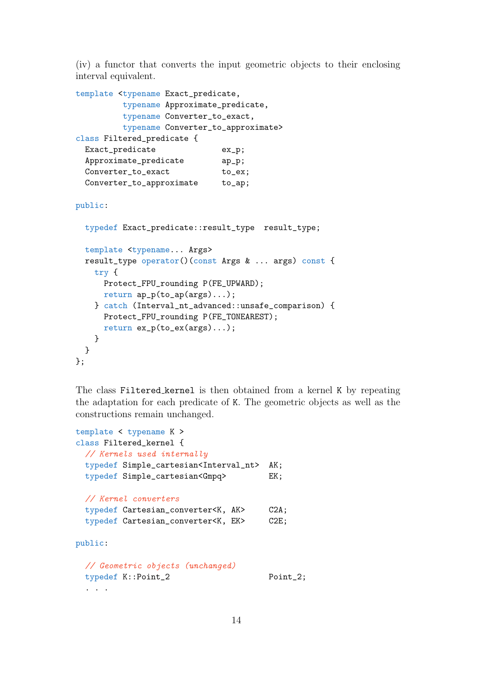(iv) a functor that converts the input geometric objects to their enclosing interval equivalent.

```
template <typename Exact_predicate,
         typename Approximate_predicate,
         typename Converter_to_exact,
         typename Converter_to_approximate>
class Filtered_predicate {
 Exact_predicate ex_p;
  Approximate_predicate ap_p;
  Converter_to_exact to_ex;
  Converter_to_approximate to_ap;
public:
  typedef Exact_predicate::result_type result_type;
  template <typename... Args>
  result_type operator()(const Args & ... args) const {
   try {
     Protect_FPU_rounding P(FE_UPWARD);
     return ap_p(to_ap(args)...);
   } catch (Interval_nt_advanced::unsafe_comparison) {
     Protect_FPU_rounding P(FE_TONEAREST);
     return ex_p(to_ex(args)...);
   }
  }
};
```
The class Filtered kernel is then obtained from a kernel K by repeating the adaptation for each predicate of K. The geometric objects as well as the constructions remain unchanged.

```
template < typename K >
class Filtered_kernel {
 // Kernels used internally
 typedef Simple_cartesian<Interval_nt> AK;
 typedef Simple_cartesian<Gmpq> EK;
 // Kernel converters
 typedef Cartesian_converter<K, AK> C2A;
 typedef Cartesian_converter<K, EK> C2E;
public:
 // Geometric objects (unchanged)
 typedef K::Point_2 Point_2;
 . . .
```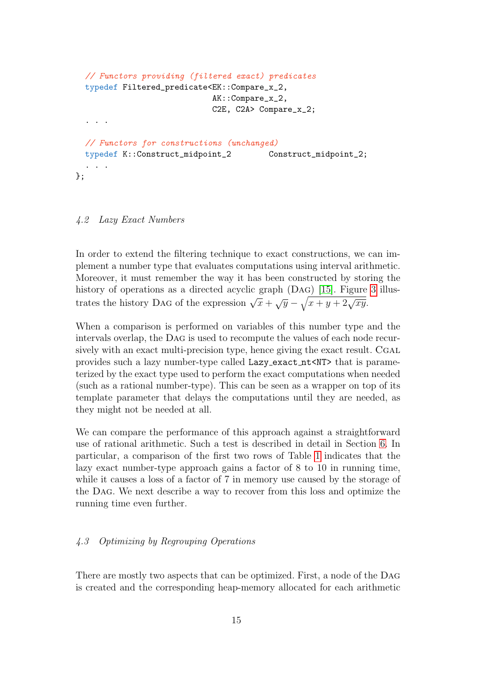```
// Functors providing (filtered exact) predicates
 typedef Filtered_predicate<EK::Compare_x_2,
                            AK::Compare_x_2,
                            C2E, C2A> Compare_x_2;
  . . .
 // Functors for constructions (unchanged)
 typedef K::Construct_midpoint_2 Construct_midpoint_2;
  . . .
};
```


In order to extend the filtering technique to exact constructions, we can implement a number type that evaluates computations using interval arithmetic. Moreover, it must remember the way it has been constructed by storing the history of operations as a directed acyclic graph (DAG) [\[15\]](#page-29-4). Figure [3](#page-16-0) illustrates the history DAG of the expression  $\sqrt{x} + \sqrt{y} - \sqrt{x+y+2\sqrt{xy}}$ .

When a comparison is performed on variables of this number type and the intervals overlap, the Dag is used to recompute the values of each node recursively with an exact multi-precision type, hence giving the exact result. CGAL provides such a lazy number-type called Lazy exact nt<NT> that is parameterized by the exact type used to perform the exact computations when needed (such as a rational number-type). This can be seen as a wrapper on top of its template parameter that delays the computations until they are needed, as they might not be needed at all.

We can compare the performance of this approach against a straightforward use of rational arithmetic. Such a test is described in detail in Section [6.](#page-23-0) In particular, a comparison of the first two rows of Table [1](#page-24-0) indicates that the lazy exact number-type approach gains a factor of 8 to 10 in running time, while it causes a loss of a factor of 7 in memory use caused by the storage of the Dag. We next describe a way to recover from this loss and optimize the running time even further.

#### <span id="page-15-0"></span>4.3 Optimizing by Regrouping Operations

There are mostly two aspects that can be optimized. First, a node of the Dag is created and the corresponding heap-memory allocated for each arithmetic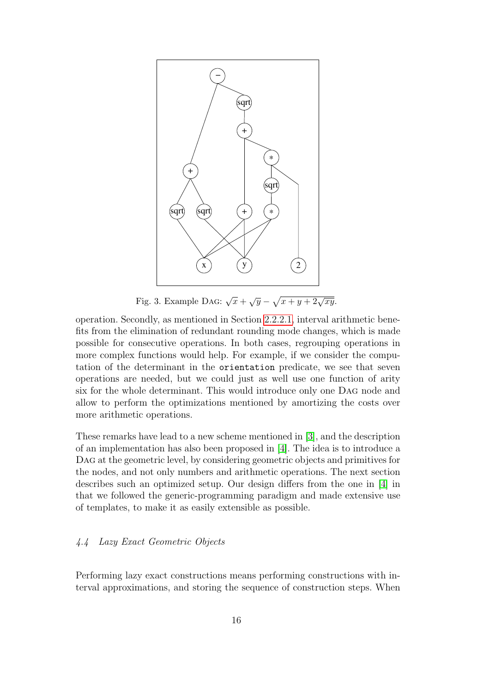

<span id="page-16-0"></span>Fig. 3. Example DAG:  $\sqrt{x} + \sqrt{y} - \sqrt{x + y + 2\sqrt{xy}}$ .

operation. Secondly, as mentioned in Section [2.2.2.1,](#page-7-0) interval arithmetic benefits from the elimination of redundant rounding mode changes, which is made possible for consecutive operations. In both cases, regrouping operations in more complex functions would help. For example, if we consider the computation of the determinant in the orientation predicate, we see that seven operations are needed, but we could just as well use one function of arity six for the whole determinant. This would introduce only one Dag node and allow to perform the optimizations mentioned by amortizing the costs over more arithmetic operations.

These remarks have lead to a new scheme mentioned in [\[3\]](#page-28-2), and the description of an implementation has also been proposed in [\[4\]](#page-28-3). The idea is to introduce a Dag at the geometric level, by considering geometric objects and primitives for the nodes, and not only numbers and arithmetic operations. The next section describes such an optimized setup. Our design differs from the one in [\[4\]](#page-28-3) in that we followed the generic-programming paradigm and made extensive use of templates, to make it as easily extensible as possible.

# 4.4 Lazy Exact Geometric Objects

Performing lazy exact constructions means performing constructions with interval approximations, and storing the sequence of construction steps. When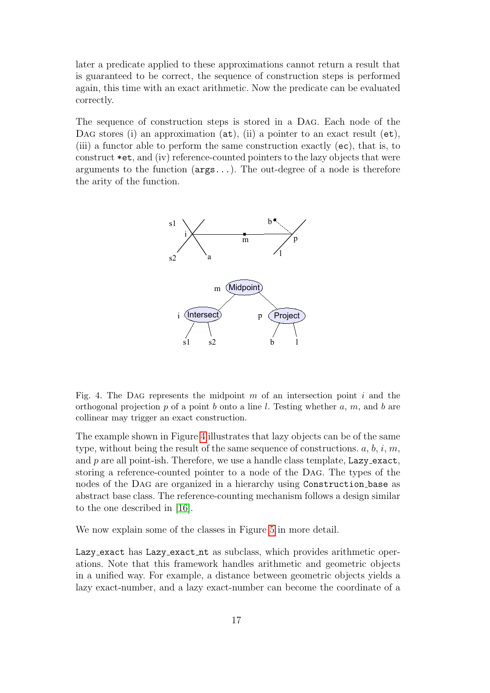later a predicate applied to these approximations cannot return a result that is guaranteed to be correct, the sequence of construction steps is performed again, this time with an exact arithmetic. Now the predicate can be evaluated correctly.

The sequence of construction steps is stored in a Dag. Each node of the DAG stores (i) an approximation  $(at)$ , (ii) a pointer to an exact result  $(ct)$ , (iii) a functor able to perform the same construction exactly (ec), that is, to construct \*et, and (iv) reference-counted pointers to the lazy objects that were arguments to the function  $(\arg s \dots)$ . The out-degree of a node is therefore the arity of the function.



<span id="page-17-0"></span>Fig. 4. The DAG represents the midpoint  $m$  of an intersection point  $i$  and the orthogonal projection  $p$  of a point  $b$  onto a line  $l$ . Testing whether  $a, m$ , and  $b$  are collinear may trigger an exact construction.

The example shown in Figure [4](#page-17-0) illustrates that lazy objects can be of the same type, without being the result of the same sequence of constructions.  $a, b, i, m$ , and  $p$  are all point-ish. Therefore, we use a handle class template, Lazy\_exact, storing a reference-counted pointer to a node of the Dag. The types of the nodes of the Dag are organized in a hierarchy using Construction base as abstract base class. The reference-counting mechanism follows a design similar to the one described in [\[16\]](#page-29-5).

We now explain some of the classes in Figure [5](#page-18-0) in more detail.

Lazy exact has Lazy exact nt as subclass, which provides arithmetic operations. Note that this framework handles arithmetic and geometric objects in a unified way. For example, a distance between geometric objects yields a lazy exact-number, and a lazy exact-number can become the coordinate of a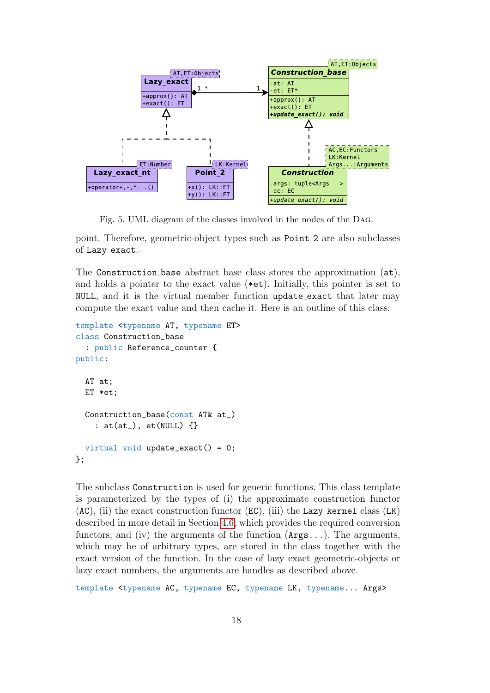

<span id="page-18-0"></span>Fig. 5. UML diagram of the classes involved in the nodes of the Dag.

point. Therefore, geometric-object types such as Point 2 are also subclasses of Lazy exact.

The Construction base abstract base class stores the approximation (at), and holds a pointer to the exact value (\*et). Initially, this pointer is set to NULL, and it is the virtual member function update exact that later may compute the exact value and then cache it. Here is an outline of this class:

```
template <typename AT, typename ET>
class Construction_base
  : public Reference_counter {
public:
  AT at;
  ET *et;
  Construction_base(const AT& at_)
    : at(at_), et(NULL) {}
  virtual void update_exact() = 0;
};
```
The subclass Construction is used for generic functions. This class template is parameterized by the types of (i) the approximate construction functor  $(AC)$ , (ii) the exact construction functor  $(EC)$ , (iii) the Lazy kernel class  $(LK)$ described in more detail in Section [4.6,](#page-21-0) which provides the required conversion functors, and (iv) the arguments of the function  $(\text{Args} \dots)$ . The arguments, which may be of arbitrary types, are stored in the class together with the exact version of the function. In the case of lazy exact geometric-objects or lazy exact numbers, the arguments are handles as described above.

template <typename AC, typename EC, typename LK, typename... Args>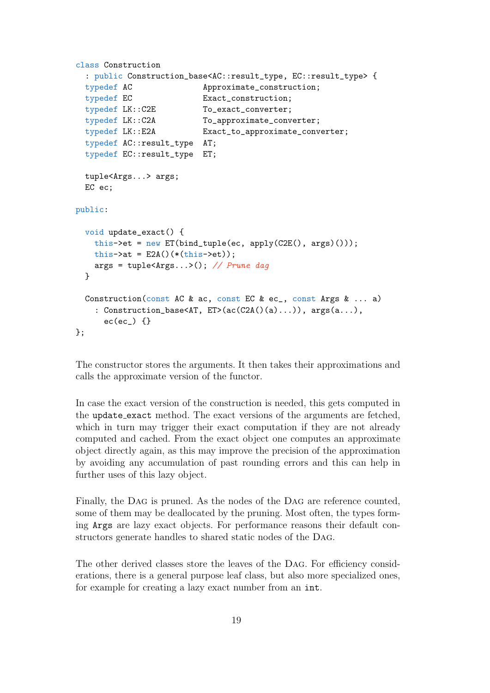```
class Construction
  : public Construction_base<AC::result_type, EC::result_type> {
 typedef AC Approximate construction:
 typedef EC Exact_construction;
 typedef LK::C2E To_exact_converter;
 typedef LK::C2A To_approximate_converter;
 typedef LK::E2A Exact_to_approximate_converter;
 typedef AC::result_type AT;
 typedef EC::result_type ET;
 tuple<Args...> args;
 EC ec;
public:
 void update_exact() {
   this->et = new ET(bind_tuple(ec, apply(C2E(), args)()));
   this->at = E2A()(*(this->et));
   args = tuple<Args...>(); // Prune dag
 }
 Construction(const AC & ac, const EC & ec_, const Args & ... a)
   : Construction_base<AT, ET>(ac(C2A()(a)...)), args(a...),
     ec(ec_) {}
};
```
The constructor stores the arguments. It then takes their approximations and calls the approximate version of the functor.

In case the exact version of the construction is needed, this gets computed in the update exact method. The exact versions of the arguments are fetched, which in turn may trigger their exact computation if they are not already computed and cached. From the exact object one computes an approximate object directly again, as this may improve the precision of the approximation by avoiding any accumulation of past rounding errors and this can help in further uses of this lazy object.

Finally, the Dag is pruned. As the nodes of the Dag are reference counted, some of them may be deallocated by the pruning. Most often, the types forming Args are lazy exact objects. For performance reasons their default constructors generate handles to shared static nodes of the Dag.

The other derived classes store the leaves of the Dag. For efficiency considerations, there is a general purpose leaf class, but also more specialized ones, for example for creating a lazy exact number from an int.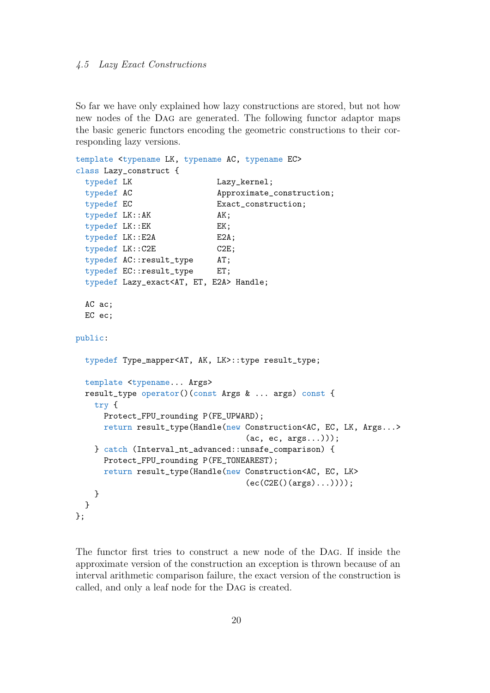#### 4.5 Lazy Exact Constructions

So far we have only explained how lazy constructions are stored, but not how new nodes of the Dag are generated. The following functor adaptor maps the basic generic functors encoding the geometric constructions to their corresponding lazy versions.

```
template <typename LK, typename AC, typename EC>
class Lazy_construct {
 typedef LK Lazy_kernel;
 typedef AC Approximate_construction;
 typedef EC Exact_construction;
 typedef LK::AK AK;typedef LK::EK EK;
 typedef LK::E2A E2A;
 typedef LK::C2E C2E;
 typedef AC::result_type AT;
 typedef EC::result_type ET;
 typedef Lazy_exact<AT, ET, E2A> Handle;
 AC ac;
 EC ec;
public:
 typedef Type_mapper<AT, AK, LK>::type result_type;
 template <typename... Args>
 result_type operator()(const Args & ... args) const {
   try {
     Protect_FPU_rounding P(FE_UPWARD);
     return result_type(Handle(new Construction<AC, EC, LK, Args...>
                                (ac, ec, args...));
   } catch (Interval_nt_advanced::unsafe_comparison) {
     Protect_FPU_rounding P(FE_TONEAREST);
     return result_type(Handle(new Construction<AC, EC, LK>
                                (ec(C2E()) (args) \dots)));
   }
 }
};
```
The functor first tries to construct a new node of the Dag. If inside the approximate version of the construction an exception is thrown because of an interval arithmetic comparison failure, the exact version of the construction is called, and only a leaf node for the Dag is created.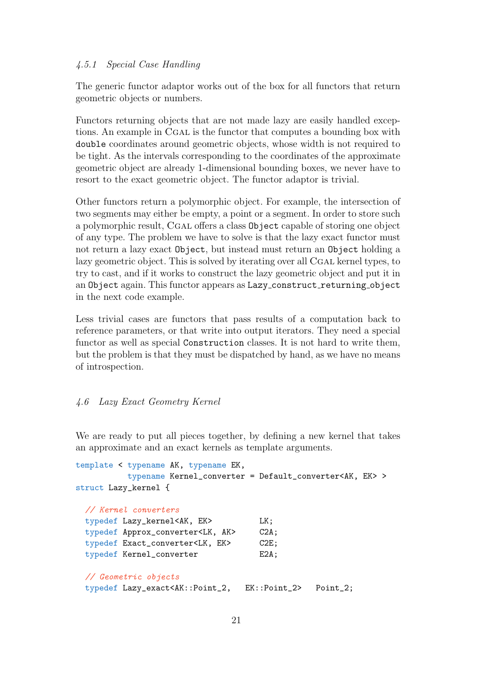# 4.5.1 Special Case Handling

The generic functor adaptor works out of the box for all functors that return geometric objects or numbers.

Functors returning objects that are not made lazy are easily handled exceptions. An example in Cgal is the functor that computes a bounding box with double coordinates around geometric objects, whose width is not required to be tight. As the intervals corresponding to the coordinates of the approximate geometric object are already 1-dimensional bounding boxes, we never have to resort to the exact geometric object. The functor adaptor is trivial.

Other functors return a polymorphic object. For example, the intersection of two segments may either be empty, a point or a segment. In order to store such a polymorphic result, Cgal offers a class Object capable of storing one object of any type. The problem we have to solve is that the lazy exact functor must not return a lazy exact Object, but instead must return an Object holding a lazy geometric object. This is solved by iterating over all CGAL kernel types, to try to cast, and if it works to construct the lazy geometric object and put it in an Object again. This functor appears as Lazy construct returning object in the next code example.

Less trivial cases are functors that pass results of a computation back to reference parameters, or that write into output iterators. They need a special functor as well as special Construction classes. It is not hard to write them, but the problem is that they must be dispatched by hand, as we have no means of introspection.

# <span id="page-21-0"></span>4.6 Lazy Exact Geometry Kernel

We are ready to put all pieces together, by defining a new kernel that takes an approximate and an exact kernels as template arguments.

```
template < typename AK, typename EK,
          typename Kernel_converter = Default_converter<AK, EK> >
struct Lazy_kernel {
 // Kernel converters
 typedef Lazy_kernel<AK, EK> LK;
 typedef Approx_converter<LK, AK> C2A;
 typedef Exact_converter<LK, EK> C2E;
 typedef Kernel_converter E2A;
 // Geometric objects
 typedef Lazy_exact<AK::Point_2, EK::Point_2> Point_2;
```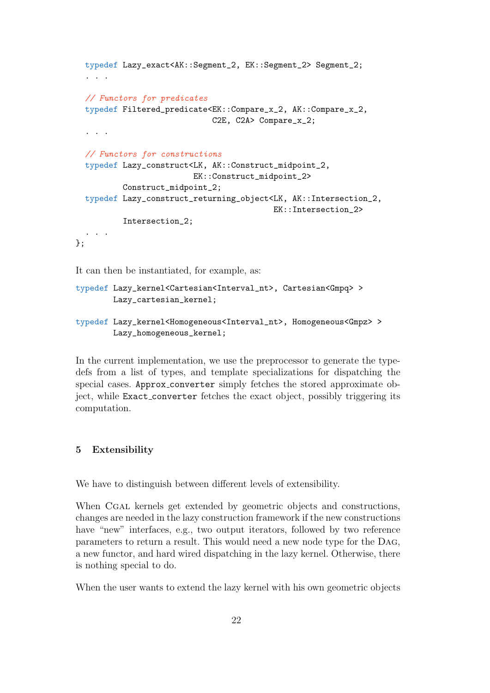```
typedef Lazy_exact<AK::Segment_2, EK::Segment_2> Segment_2;
  . . .
  // Functors for predicates
  typedef Filtered_predicate<EK::Compare_x_2, AK::Compare_x_2,
                             C2E, C2A> Compare_x_2;
  . . .
  // Functors for constructions
  typedef Lazy_construct<LK, AK::Construct_midpoint_2,
                         EK::Construct_midpoint_2>
          Construct_midpoint_2;
  typedef Lazy_construct_returning_object<LK, AK::Intersection_2,
                                          EK::Intersection_2>
          Intersection_2;
  . . .
};
```
It can then be instantiated, for example, as:

```
typedef Lazy_kernel<Cartesian<Interval_nt>, Cartesian<Gmpq> >
       Lazy_cartesian_kernel;
```

```
typedef Lazy_kernel<Homogeneous<Interval_nt>, Homogeneous<Gmpz> >
       Lazy_homogeneous_kernel;
```
In the current implementation, we use the preprocessor to generate the typedefs from a list of types, and template specializations for dispatching the special cases. Approx converter simply fetches the stored approximate object, while Exact converter fetches the exact object, possibly triggering its computation.

# <span id="page-22-0"></span>5 Extensibility

We have to distinguish between different levels of extensibility.

When CGAL kernels get extended by geometric objects and constructions, changes are needed in the lazy construction framework if the new constructions have "new" interfaces, e.g., two output iterators, followed by two reference parameters to return a result. This would need a new node type for the Dag, a new functor, and hard wired dispatching in the lazy kernel. Otherwise, there is nothing special to do.

When the user wants to extend the lazy kernel with his own geometric objects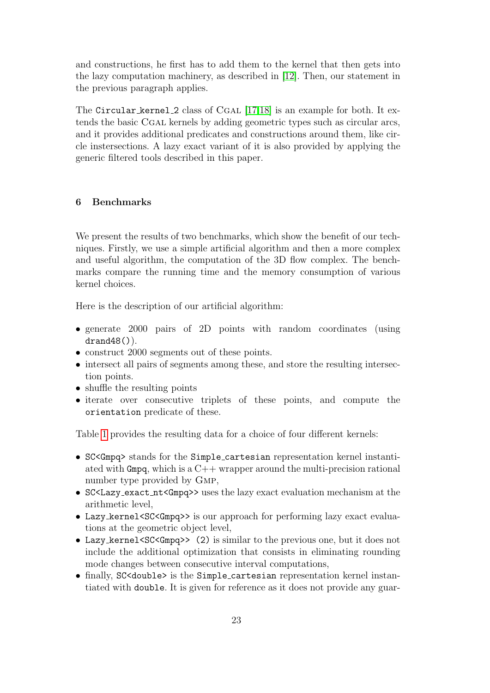and constructions, he first has to add them to the kernel that then gets into the lazy computation machinery, as described in [\[12\]](#page-29-1). Then, our statement in the previous paragraph applies.

The Circular kernel 2 class of CGAL [\[17,](#page-29-6)[18\]](#page-29-7) is an example for both. It extends the basic Cgal kernels by adding geometric types such as circular arcs, and it provides additional predicates and constructions around them, like circle instersections. A lazy exact variant of it is also provided by applying the generic filtered tools described in this paper.

# <span id="page-23-0"></span>6 Benchmarks

We present the results of two benchmarks, which show the benefit of our techniques. Firstly, we use a simple artificial algorithm and then a more complex and useful algorithm, the computation of the 3D flow complex. The benchmarks compare the running time and the memory consumption of various kernel choices.

Here is the description of our artificial algorithm:

- generate 2000 pairs of 2D points with random coordinates (using  $drand48()$ .
- construct 2000 segments out of these points.
- intersect all pairs of segments among these, and store the resulting intersection points.
- shuffle the resulting points
- iterate over consecutive triplets of these points, and compute the orientation predicate of these.

Table [1](#page-24-0) provides the resulting data for a choice of four different kernels:

- SC<Gmpq> stands for the Simple cartesian representation kernel instantiated with  $Gmpq$ , which is a  $C++$  wrapper around the multi-precision rational number type provided by Gmp,
- SC<Lazy exact nt<Gmpq>> uses the lazy exact evaluation mechanism at the arithmetic level,
- Lazy\_kernel<SC<Gmpq>> is our approach for performing lazy exact evaluations at the geometric object level,
- Lazy kernel <SC<Gmpq>> (2) is similar to the previous one, but it does not include the additional optimization that consists in eliminating rounding mode changes between consecutive interval computations,
- finally, SC<double> is the Simple cartesian representation kernel instantiated with double. It is given for reference as it does not provide any guar-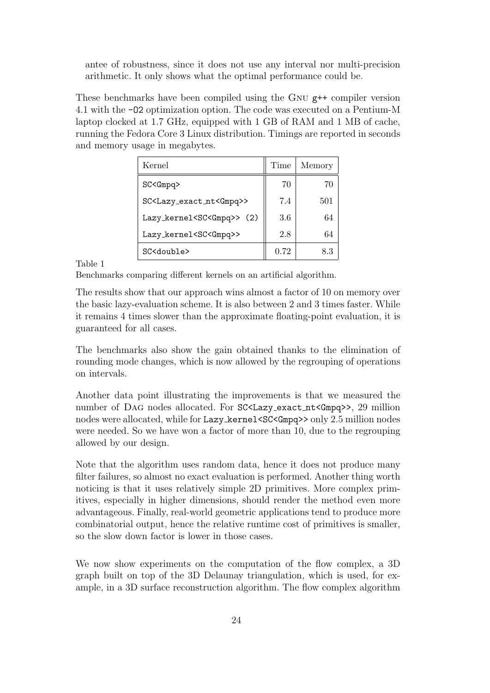antee of robustness, since it does not use any interval nor multi-precision arithmetic. It only shows what the optimal performance could be.

These benchmarks have been compiled using the GNU  $g$ ++ compiler version 4.1 with the -O2 optimization option. The code was executed on a Pentium-M laptop clocked at 1.7 GHz, equipped with 1 GB of RAM and 1 MB of cache, running the Fedora Core 3 Linux distribution. Timings are reported in seconds and memory usage in megabytes.

| Kernel                                           | Time | Memory |
|--------------------------------------------------|------|--------|
| SC < Gmpq                                        | 70   | 70     |
| SC <lazy_exact_nt<gmpq>&gt;</lazy_exact_nt<gmpq> | 7.4  | 501    |
| Lazy_kernel <sc<gmpq>&gt; (2)</sc<gmpq>          | 3.6  | 64     |
| Lazy_kernel <sc<gmpq>&gt;</sc<gmpq>              | 2.8  | 64     |
| $SC<$ double $>$                                 | 0.72 | 83     |

Table 1

<span id="page-24-0"></span>Benchmarks comparing different kernels on an artificial algorithm.

The results show that our approach wins almost a factor of 10 on memory over the basic lazy-evaluation scheme. It is also between 2 and 3 times faster. While it remains 4 times slower than the approximate floating-point evaluation, it is guaranteed for all cases.

The benchmarks also show the gain obtained thanks to the elimination of rounding mode changes, which is now allowed by the regrouping of operations on intervals.

Another data point illustrating the improvements is that we measured the number of Dag nodes allocated. For SC<Lazy exact nt<Gmpq>>, 29 million nodes were allocated, while for Lazy kernel<SC<Gmpq>> only 2.5 million nodes were needed. So we have won a factor of more than 10, due to the regrouping allowed by our design.

Note that the algorithm uses random data, hence it does not produce many filter failures, so almost no exact evaluation is performed. Another thing worth noticing is that it uses relatively simple 2D primitives. More complex primitives, especially in higher dimensions, should render the method even more advantageous. Finally, real-world geometric applications tend to produce more combinatorial output, hence the relative runtime cost of primitives is smaller, so the slow down factor is lower in those cases.

We now show experiments on the computation of the flow complex, a 3D graph built on top of the 3D Delaunay triangulation, which is used, for example, in a 3D surface reconstruction algorithm. The flow complex algorithm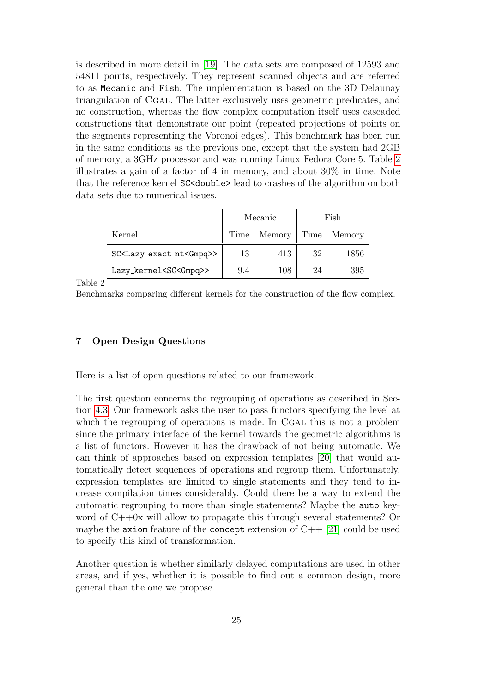is described in more detail in [\[19\]](#page-29-8). The data sets are composed of 12593 and 54811 points, respectively. They represent scanned objects and are referred to as Mecanic and Fish. The implementation is based on the 3D Delaunay triangulation of Cgal. The latter exclusively uses geometric predicates, and no construction, whereas the flow complex computation itself uses cascaded constructions that demonstrate our point (repeated projections of points on the segments representing the Voronoi edges). This benchmark has been run in the same conditions as the previous one, except that the system had 2GB of memory, a 3GHz processor and was running Linux Fedora Core 5. Table [2](#page-25-1) illustrates a gain of a factor of 4 in memory, and about 30% in time. Note that the reference kernel SC<double> lead to crashes of the algorithm on both data sets due to numerical issues.

|                                                  | Mecanic |        | Fish |        |
|--------------------------------------------------|---------|--------|------|--------|
| Kernel                                           | Time    | Memory | Time | Memory |
| SC <lazy_exact_nt<gmpq>&gt;</lazy_exact_nt<gmpq> | 13      | 413    | 32   | 1856   |
| Lazy_kernel <sc<gmpq>&gt;</sc<gmpq>              | 9.4     | 108    | 24   | 395    |

Table 2

<span id="page-25-1"></span>Benchmarks comparing different kernels for the construction of the flow complex.

# <span id="page-25-0"></span>7 Open Design Questions

Here is a list of open questions related to our framework.

The first question concerns the regrouping of operations as described in Section [4.3.](#page-15-0) Our framework asks the user to pass functors specifying the level at which the regrouping of operations is made. In CGAL this is not a problem since the primary interface of the kernel towards the geometric algorithms is a list of functors. However it has the drawback of not being automatic. We can think of approaches based on expression templates [\[20\]](#page-29-9) that would automatically detect sequences of operations and regroup them. Unfortunately, expression templates are limited to single statements and they tend to increase compilation times considerably. Could there be a way to extend the automatic regrouping to more than single statements? Maybe the auto keyword of C++0x will allow to propagate this through several statements? Or maybe the  $\alpha$  axiom feature of the concept extension of  $C_{++}$  [\[21\]](#page-29-10) could be used to specify this kind of transformation.

Another question is whether similarly delayed computations are used in other areas, and if yes, whether it is possible to find out a common design, more general than the one we propose.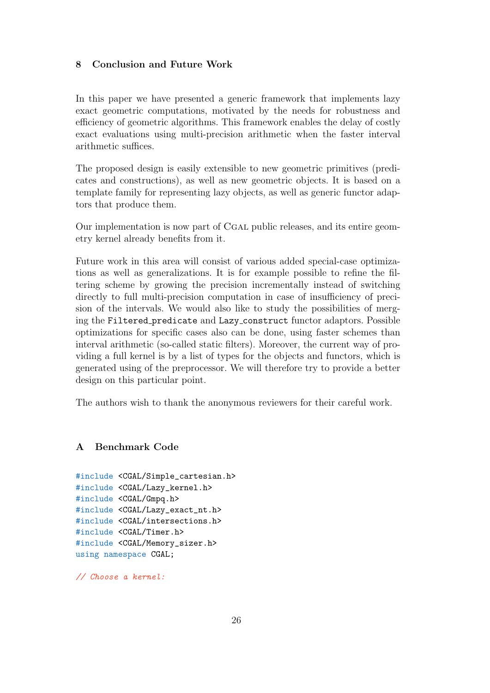# 8 Conclusion and Future Work

In this paper we have presented a generic framework that implements lazy exact geometric computations, motivated by the needs for robustness and efficiency of geometric algorithms. This framework enables the delay of costly exact evaluations using multi-precision arithmetic when the faster interval arithmetic suffices.

The proposed design is easily extensible to new geometric primitives (predicates and constructions), as well as new geometric objects. It is based on a template family for representing lazy objects, as well as generic functor adaptors that produce them.

Our implementation is now part of Cgal public releases, and its entire geometry kernel already benefits from it.

Future work in this area will consist of various added special-case optimizations as well as generalizations. It is for example possible to refine the filtering scheme by growing the precision incrementally instead of switching directly to full multi-precision computation in case of insufficiency of precision of the intervals. We would also like to study the possibilities of merging the Filtered predicate and Lazy construct functor adaptors. Possible optimizations for specific cases also can be done, using faster schemes than interval arithmetic (so-called static filters). Moreover, the current way of providing a full kernel is by a list of types for the objects and functors, which is generated using of the preprocessor. We will therefore try to provide a better design on this particular point.

The authors wish to thank the anonymous reviewers for their careful work.

# A Benchmark Code

```
#include <CGAL/Simple_cartesian.h>
#include <CGAL/Lazy_kernel.h>
#include <CGAL/Gmpq.h>
#include <CGAL/Lazy_exact_nt.h>
#include <CGAL/intersections.h>
#include <CGAL/Timer.h>
#include <CGAL/Memory_sizer.h>
using namespace CGAL;
```
*// Choose a kernel:*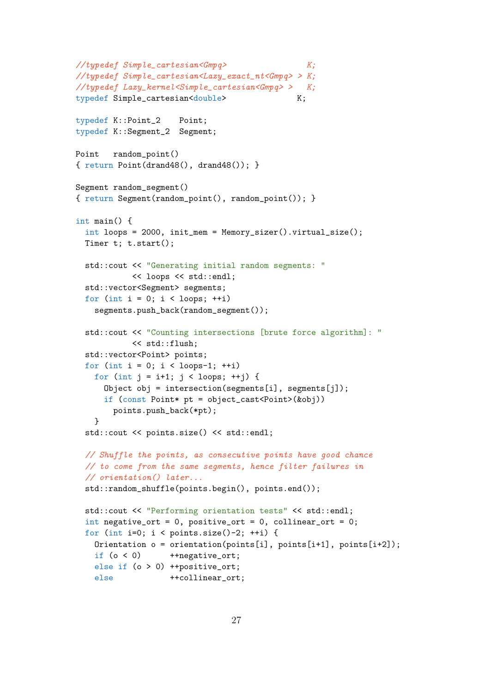```
//typedef Simple_cartesian<Gmpq> K;
//typedef Simple_cartesian<Lazy_exact_nt<Gmpq> > K;
//typedef Lazy_kernel<Simple_cartesian<Gmpq> > K;
typedef Simple_cartesian<double>
K;
typedef K::Point_2 Point;
typedef K::Segment_2 Segment;
Point random_point()
{ return Point(drand48(), drand48()); }
Segment random_segment()
{ return Segment(random_point(), random_point()); }
int main() {
 int loops = 2000, init_mem = Memory_sizer().virtual_size();
 Timer t; t.start();
 std::cout << "Generating initial random segments: "
           << loops << std::endl;
 std::vector<Segment> segments;
 for (int i = 0; i < loops; ++i)
   segments.push_back(random_segment());
 std::cout << "Counting intersections [brute force algorithm]: "
           << std::flush;
 std::vector<Point> points;
 for (int i = 0; i < loops-1; ++i)
   for (int j = i+1; j < loops; ++j) {
     Object obj = intersection(segments[i], segments[j]);
     if (const Point* pt = object_cast<Point>(&obj))
       points.push_back(*pt);
   }
 std::cout << points.size() << std::endl;
 // Shuffle the points, as consecutive points have good chance
 // to come from the same segments, hence filter failures in
 // orientation() later...
 std::random_shuffle(points.begin(), points.end());
 std::cout << "Performing orientation tests" << std::endl;
 int negative_ort = 0, positive_ort = 0, collinear_ort = 0;
 for (int i=0; i < points.size()-2; ++i) {
   Orientation o = orientation(points[i], points[i+1], points[i+2]);
   if (o < 0) + + negative_ort;
   else if (o > 0) ++positive_ort;
   else +tollinear_ort;
```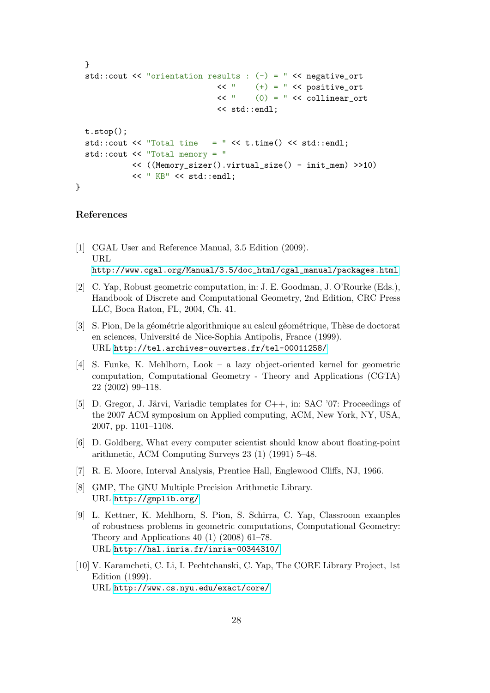```
}
 std::cout << "orientation results : (-) = " << negative_ort
                              << " (+) = " << positive ort
                              << " (0) = " << collinear_ort
                              << std::endl;
 t.stop();
 std::cout \le "Total time = "\le t.time() \le std::endl;
 std::cout << "Total memory = "
            << ((Memory_sizer().virtual_size() - init_mem) >>10)
            << " KB" << std::endl;
}
```
#### References

- <span id="page-28-0"></span>[1] CGAL User and Reference Manual, 3.5 Edition (2009). URL [http://www.cgal.org/Manual/3.5/doc\\_html/cgal\\_manual/packages.html](http://www.cgal.org/Manual/3.5/doc_html/cgal_manual/packages.html)
- <span id="page-28-1"></span>[2] C. Yap, Robust geometric computation, in: J. E. Goodman, J. O'Rourke (Eds.), Handbook of Discrete and Computational Geometry, 2nd Edition, CRC Press LLC, Boca Raton, FL, 2004, Ch. 41.
- <span id="page-28-2"></span>[3] S. Pion, De la géométrie algorithmique au calcul géométrique, Thèse de doctorat en sciences, Université de Nice-Sophia Antipolis, France (1999). URL <http://tel.archives-ouvertes.fr/tel-00011258/>
- <span id="page-28-3"></span>[4] S. Funke, K. Mehlhorn, Look – a lazy object-oriented kernel for geometric computation, Computational Geometry - Theory and Applications (CGTA) 22 (2002) 99–118.
- <span id="page-28-4"></span>[5] D. Gregor, J. Järvi, Variadic templates for  $C_{++}$ , in: SAC '07: Proceedings of the 2007 ACM symposium on Applied computing, ACM, New York, NY, USA, 2007, pp. 1101–1108.
- <span id="page-28-5"></span>[6] D. Goldberg, What every computer scientist should know about floating-point arithmetic, ACM Computing Surveys 23 (1) (1991) 5–48.
- <span id="page-28-6"></span>[7] R. E. Moore, Interval Analysis, Prentice Hall, Englewood Cliffs, NJ, 1966.
- <span id="page-28-7"></span>[8] GMP, The GNU Multiple Precision Arithmetic Library. URL <http://gmplib.org/>
- <span id="page-28-8"></span>[9] L. Kettner, K. Mehlhorn, S. Pion, S. Schirra, C. Yap, Classroom examples of robustness problems in geometric computations, Computational Geometry: Theory and Applications 40 (1) (2008) 61–78. URL <http://hal.inria.fr/inria-00344310/>
- <span id="page-28-9"></span>[10] V. Karamcheti, C. Li, I. Pechtchanski, C. Yap, The CORE Library Project, 1st Edition (1999). URL <http://www.cs.nyu.edu/exact/core/>